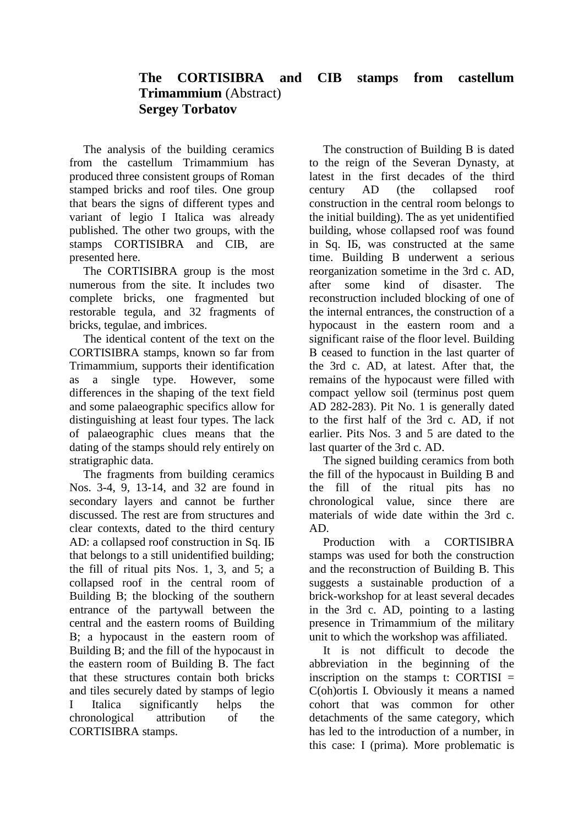## **The CORTISIBRA and CIB stamps from castellum Trimammium** (Abstract) **Sergey Torbatov**

The analysis of the building ceramics from the castellum Trimammium has produced three consistent groups of Roman stamped bricks and roof tiles. One group that bears the signs of different types and variant of legio I Italica was already published. The other two groups, with the stamps CORTISIBRA and CIB, are presented here.

The CORTISIBRA group is the most numerous from the site. It includes two complete bricks, one fragmented but restorable tegula, and 32 fragments of bricks, tegulae, and imbrices.

The identical content of the text on the CORTISIBRA stamps, known so far from Trimammium, supports their identification as a single type. However, some differences in the shaping of the text field and some palaeographic specifics allow for distinguishing at least four types. The lack of palaeographic clues means that the dating of the stamps should rely entirely on stratigraphic data.

The fragments from building ceramics Nos. 3-4, 9, 13-14, and 32 are found in secondary layers and cannot be further discussed. The rest are from structures and clear contexts, dated to the third century AD: a collapsed roof construction in Sq. ІБ that belongs to a still unidentified building; the fill of ritual pits Nos. 1, 3, and 5; a collapsed roof in the central room of Building В; the blocking of the southern entrance of the partywall between the central and the eastern rooms of Building В; a hypocaust in the eastern room of Building В; and the fill of the hypocaust in the eastern room of Building В. The fact that these structures contain both bricks and tiles securely dated by stamps of legio I Italica significantly helps the chronological attribution of the CORTISIBRA stamps.

The construction of Building В is dated to the reign of the Severan Dynasty, at latest in the first decades of the third century AD (the collapsed roof construction in the central room belongs to the initial building). The as yet unidentified building, whose collapsed roof was found in Sq. ІБ, was constructed at the same time. Building В underwent a serious reorganization sometime in the 3rd c. AD, after some kind of disaster. The reconstruction included blocking of one of the internal entrances, the construction of a hypocaust in the eastern room and a significant raise of the floor level. Building В ceased to function in the last quarter of the 3rd c. AD, at latest. After that, the remains of the hypocaust were filled with compact yellow soil (terminus post quem AD 282-283). Pit No. 1 is generally dated to the first half of the 3rd c. AD, if not earlier. Pits Nos. 3 and 5 are dated to the last quarter of the 3rd c. AD.

The signed building ceramics from both the fill of the hypocaust in Building B and the fill of the ritual pits has no chronological value, since there are materials of wide date within the 3rd c. AD.

Production with a CORTISIBRA stamps was used for both the construction and the reconstruction of Building B. This suggests a sustainable production of a brick-workshop for at least several decades in the 3rd c. AD, pointing to a lasting presence in Trimammium of the military unit to which the workshop was affiliated.

It is not difficult to decode the abbreviation in the beginning of the inscription on the stamps t: CORTISI  $=$ C(oh)ortis I. Obviously it means a named cohort that was common for other detachments of the same category, which has led to the introduction of a number, in this case: І (prima). More problematic is